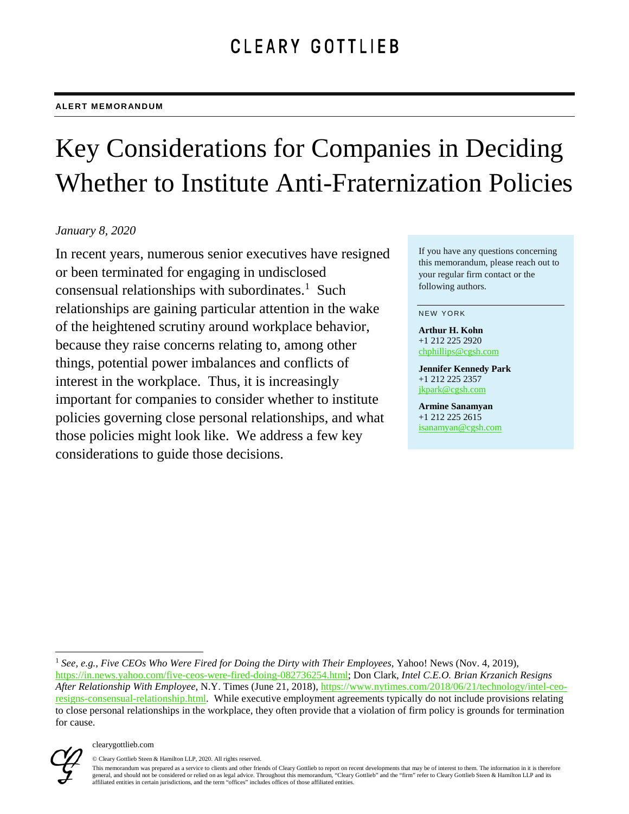# Key Considerations for Companies in Deciding Whether to Institute Anti-Fraternization Policies

## *January 8, 2020*

In recent years, numerous senior executives have resigned or been terminated for engaging in undisclosed consensual relationships with subordinates.<sup>[1](#page-0-0)</sup> Such relationships are gaining particular attention in the wake of the heightened scrutiny around workplace behavior, because they raise concerns relating to, among other things, potential power imbalances and conflicts of interest in the workplace. Thus, it is increasingly important for companies to consider whether to institute policies governing close personal relationships, and what those policies might look like. We address a few key considerations to guide those decisions.

If you have any questions concerning this memorandum, please reach out to your regular firm contact or the following authors.

#### NEW YORK

**Arthur H. Kohn** +1 212 225 2920 [chphillips@cgsh.com](mailto:chphillips@cgsh.com)

**Jennifer Kennedy Park** +1 212 225 2357 [jkpark@cgsh.com](mailto:jkpark@cgsh.com)

**Armine Sanamyan** +1 212 225 2615 [isanamyan@cgsh.com](mailto:isanamyan@cgsh.com)

<span id="page-0-0"></span> <sup>1</sup> *See, e.g.*, *Five CEOs Who Were Fired for Doing the Dirty with Their Employees*, Yahoo! News (Nov. 4, 2019), [https://in.news.yahoo.com/five-ceos-were-fired-doing-082736254.html;](https://in.news.yahoo.com/five-ceos-were-fired-doing-082736254.html) Don Clark, *Intel C.E.O. Brian Krzanich Resigns After Relationship With Employee*, N.Y. Times (June 21, 2018), [https://www.nytimes.com/2018/06/21/technology/intel-ceo](https://www.nytimes.com/2018/06/21/technology/intel-ceo-resigns-consensual-relationship.html)[resigns-consensual-relationship.html.](https://www.nytimes.com/2018/06/21/technology/intel-ceo-resigns-consensual-relationship.html) While executive employment agreements typically do not include provisions relating to close personal relationships in the workplace, they often provide that a violation of firm policy is grounds for termination for cause.



© Cleary Gottlieb Steen & Hamilton LLP, 2020. All rights reserved.

This memorandum was prepared as a service to clients and other friends of Cleary Gottlieb to report on recent developments that may be of interest to them. The information in it is therefore general, and should not be considered or relied on as legal advice. Throughout this memorandum, "Cleary Gottlieb" and the "firm" refer to Cleary Gottlieb Steen & Hamilton LLP and its affiliated entities in certain jurisdictions, and the term "offices" includes offices of those affiliated entities.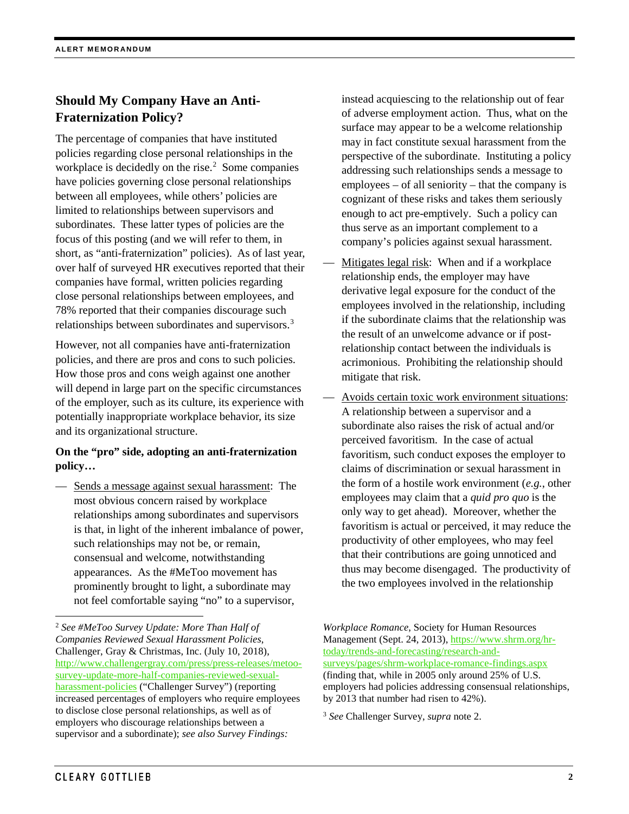## **Should My Company Have an Anti-Fraternization Policy?**

The percentage of companies that have instituted policies regarding close personal relationships in the workplace is decidedly on the rise.<sup>[2](#page-1-0)</sup> Some companies have policies governing close personal relationships between all employees, while others' policies are limited to relationships between supervisors and subordinates. These latter types of policies are the focus of this posting (and we will refer to them, in short, as "anti-fraternization" policies). As of last year, over half of surveyed HR executives reported that their companies have formal, written policies regarding close personal relationships between employees, and 78% reported that their companies discourage such relationships between subordinates and supervisors.<sup>[3](#page-1-1)</sup>

However, not all companies have anti-fraternization policies, and there are pros and cons to such policies. How those pros and cons weigh against one another will depend in large part on the specific circumstances of the employer, such as its culture, its experience with potentially inappropriate workplace behavior, its size and its organizational structure.

## **On the "pro" side, adopting an anti-fraternization policy…**

Sends a message against sexual harassment: The most obvious concern raised by workplace relationships among subordinates and supervisors is that, in light of the inherent imbalance of power, such relationships may not be, or remain, consensual and welcome, notwithstanding appearances. As the #MeToo movement has prominently brought to light, a subordinate may not feel comfortable saying "no" to a supervisor,

instead acquiescing to the relationship out of fear of adverse employment action. Thus, what on the surface may appear to be a welcome relationship may in fact constitute sexual harassment from the perspective of the subordinate. Instituting a policy addressing such relationships sends a message to employees – of all seniority – that the company is cognizant of these risks and takes them seriously enough to act pre-emptively. Such a policy can thus serve as an important complement to a company's policies against sexual harassment.

- Mitigates legal risk: When and if a workplace relationship ends, the employer may have derivative legal exposure for the conduct of the employees involved in the relationship, including if the subordinate claims that the relationship was the result of an unwelcome advance or if postrelationship contact between the individuals is acrimonious. Prohibiting the relationship should mitigate that risk.
- Avoids certain toxic work environment situations: A relationship between a supervisor and a subordinate also raises the risk of actual and/or perceived favoritism. In the case of actual favoritism, such conduct exposes the employer to claims of discrimination or sexual harassment in the form of a hostile work environment (*e.g.*, other employees may claim that a *quid pro quo* is the only way to get ahead). Moreover, whether the favoritism is actual or perceived, it may reduce the productivity of other employees, who may feel that their contributions are going unnoticed and thus may become disengaged. The productivity of the two employees involved in the relationship

<span id="page-1-1"></span><span id="page-1-0"></span> <sup>2</sup> *See #MeToo Survey Update: More Than Half of Companies Reviewed Sexual Harassment Policies*, Challenger, Gray & Christmas, Inc. (July 10, 2018), [http://www.challengergray.com/press/press-releases/metoo](http://www.challengergray.com/press/press-releases/metoo-survey-update-more-half-companies-reviewed-sexual-harassment-policies)[survey-update-more-half-companies-reviewed-sexual](http://www.challengergray.com/press/press-releases/metoo-survey-update-more-half-companies-reviewed-sexual-harassment-policies)[harassment-policies](http://www.challengergray.com/press/press-releases/metoo-survey-update-more-half-companies-reviewed-sexual-harassment-policies) ("Challenger Survey") (reporting increased percentages of employers who require employees to disclose close personal relationships, as well as of employers who discourage relationships between a supervisor and a subordinate); *see also Survey Findings:* 

*Workplace Romance*, Society for Human Resources Management (Sept. 24, 2013), [https://www.shrm.org/hr](https://www.shrm.org/hr-today/trends-and-forecasting/research-and-surveys/pages/shrm-workplace-romance-findings.aspx)[today/trends-and-forecasting/research-and](https://www.shrm.org/hr-today/trends-and-forecasting/research-and-surveys/pages/shrm-workplace-romance-findings.aspx)[surveys/pages/shrm-workplace-romance-findings.aspx](https://www.shrm.org/hr-today/trends-and-forecasting/research-and-surveys/pages/shrm-workplace-romance-findings.aspx) (finding that, while in 2005 only around 25% of U.S. employers had policies addressing consensual relationships, by 2013 that number had risen to 42%).

<sup>3</sup> *See* Challenger Survey, *supra* note 2.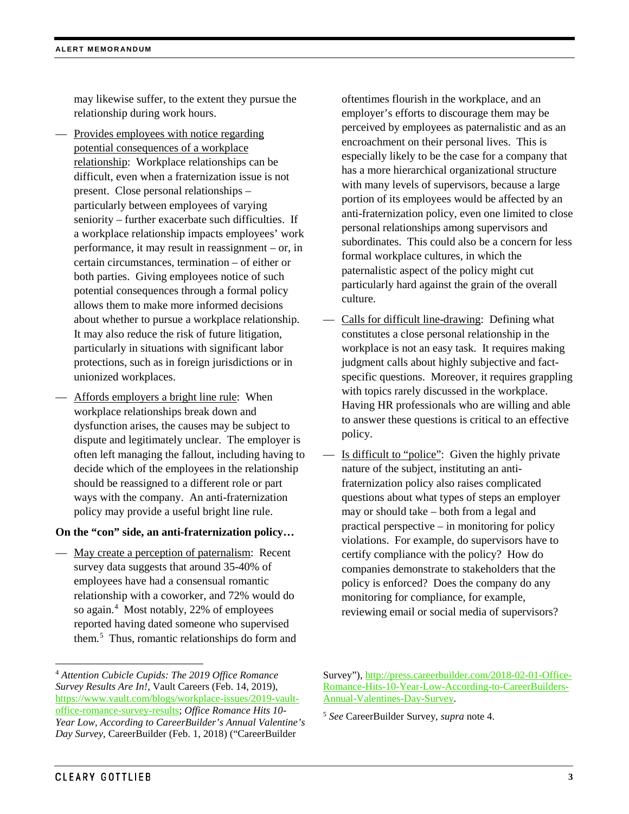may likewise suffer, to the extent they pursue the relationship during work hours.

- Provides employees with notice regarding potential consequences of a workplace relationship: Workplace relationships can be difficult, even when a fraternization issue is not present. Close personal relationships – particularly between employees of varying seniority – further exacerbate such difficulties. If a workplace relationship impacts employees' work performance, it may result in reassignment – or, in certain circumstances, termination – of either or both parties. Giving employees notice of such potential consequences through a formal policy allows them to make more informed decisions about whether to pursue a workplace relationship. It may also reduce the risk of future litigation, particularly in situations with significant labor protections, such as in foreign jurisdictions or in unionized workplaces.
- Affords employers a bright line rule: When workplace relationships break down and dysfunction arises, the causes may be subject to dispute and legitimately unclear. The employer is often left managing the fallout, including having to decide which of the employees in the relationship should be reassigned to a different role or part ways with the company. An anti-fraternization policy may provide a useful bright line rule.

#### **On the "con" side, an anti-fraternization policy…**

— May create a perception of paternalism: Recent survey data suggests that around 35-40% of employees have had a consensual romantic relationship with a coworker, and 72% would do so again.<sup>[4](#page-2-0)</sup> Most notably, 22% of employees reported having dated someone who supervised them.[5](#page-2-1) Thus, romantic relationships do form and oftentimes flourish in the workplace, and an employer's efforts to discourage them may be perceived by employees as paternalistic and as an encroachment on their personal lives. This is especially likely to be the case for a company that has a more hierarchical organizational structure with many levels of supervisors, because a large portion of its employees would be affected by an anti-fraternization policy, even one limited to close personal relationships among supervisors and subordinates. This could also be a concern for less formal workplace cultures, in which the paternalistic aspect of the policy might cut particularly hard against the grain of the overall culture.

- Calls for difficult line-drawing: Defining what constitutes a close personal relationship in the workplace is not an easy task. It requires making judgment calls about highly subjective and factspecific questions. Moreover, it requires grappling with topics rarely discussed in the workplace. Having HR professionals who are willing and able to answer these questions is critical to an effective policy.
- Is difficult to "police": Given the highly private nature of the subject, instituting an antifraternization policy also raises complicated questions about what types of steps an employer may or should take – both from a legal and practical perspective – in monitoring for policy violations. For example, do supervisors have to certify compliance with the policy? How do companies demonstrate to stakeholders that the policy is enforced? Does the company do any monitoring for compliance, for example, reviewing email or social media of supervisors?

<span id="page-2-1"></span><span id="page-2-0"></span> <sup>4</sup> *Attention Cubicle Cupids: The 2019 Office Romance Survey Results Are In!*, Vault Careers (Feb. 14, 2019), [https://www.vault.com/blogs/workplace-issues/2019-vault](https://www.vault.com/blogs/workplace-issues/2019-vault-office-romance-survey-results)[office-romance-survey-results;](https://www.vault.com/blogs/workplace-issues/2019-vault-office-romance-survey-results) *Office Romance Hits 10- Year Low, According to CareerBuilder's Annual Valentine's Day Survey*, CareerBuilder (Feb. 1, 2018) ("CareerBuilder

Survey")[, http://press.careerbuilder.com/2018-02-01-Office-](http://press.careerbuilder.com/2018-02-01-Office-Romance-Hits-10-Year-Low-According-to-CareerBuilders-Annual-Valentines-Day-Survey)[Romance-Hits-10-Year-Low-According-to-CareerBuilders-](http://press.careerbuilder.com/2018-02-01-Office-Romance-Hits-10-Year-Low-According-to-CareerBuilders-Annual-Valentines-Day-Survey)[Annual-Valentines-Day-Survey.](http://press.careerbuilder.com/2018-02-01-Office-Romance-Hits-10-Year-Low-According-to-CareerBuilders-Annual-Valentines-Day-Survey)

<sup>5</sup> *See* CareerBuilder Survey, *supra* note 4.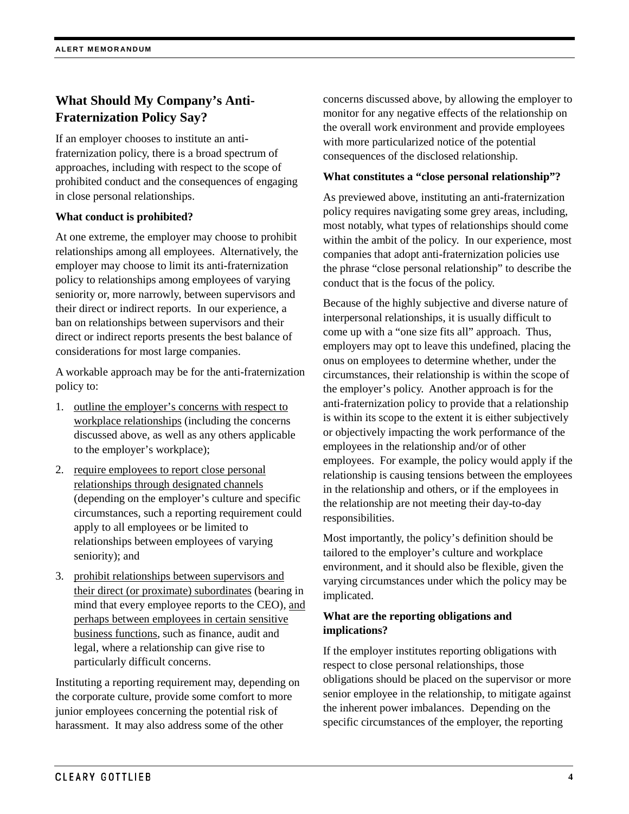## **What Should My Company's Anti-Fraternization Policy Say?**

If an employer chooses to institute an antifraternization policy, there is a broad spectrum of approaches, including with respect to the scope of prohibited conduct and the consequences of engaging in close personal relationships.

## **What conduct is prohibited?**

At one extreme, the employer may choose to prohibit relationships among all employees. Alternatively, the employer may choose to limit its anti-fraternization policy to relationships among employees of varying seniority or, more narrowly, between supervisors and their direct or indirect reports. In our experience, a ban on relationships between supervisors and their direct or indirect reports presents the best balance of considerations for most large companies.

A workable approach may be for the anti-fraternization policy to:

- 1. outline the employer's concerns with respect to workplace relationships (including the concerns discussed above, as well as any others applicable to the employer's workplace);
- 2. require employees to report close personal relationships through designated channels (depending on the employer's culture and specific circumstances, such a reporting requirement could apply to all employees or be limited to relationships between employees of varying seniority); and
- 3. prohibit relationships between supervisors and their direct (or proximate) subordinates (bearing in mind that every employee reports to the CEO), and perhaps between employees in certain sensitive business functions, such as finance, audit and legal, where a relationship can give rise to particularly difficult concerns.

Instituting a reporting requirement may, depending on the corporate culture, provide some comfort to more junior employees concerning the potential risk of harassment. It may also address some of the other

concerns discussed above, by allowing the employer to monitor for any negative effects of the relationship on the overall work environment and provide employees with more particularized notice of the potential consequences of the disclosed relationship.

## **What constitutes a "close personal relationship"?**

As previewed above, instituting an anti-fraternization policy requires navigating some grey areas, including, most notably, what types of relationships should come within the ambit of the policy. In our experience, most companies that adopt anti-fraternization policies use the phrase "close personal relationship" to describe the conduct that is the focus of the policy.

Because of the highly subjective and diverse nature of interpersonal relationships, it is usually difficult to come up with a "one size fits all" approach. Thus, employers may opt to leave this undefined, placing the onus on employees to determine whether, under the circumstances, their relationship is within the scope of the employer's policy. Another approach is for the anti-fraternization policy to provide that a relationship is within its scope to the extent it is either subjectively or objectively impacting the work performance of the employees in the relationship and/or of other employees. For example, the policy would apply if the relationship is causing tensions between the employees in the relationship and others, or if the employees in the relationship are not meeting their day-to-day responsibilities.

Most importantly, the policy's definition should be tailored to the employer's culture and workplace environment, and it should also be flexible, given the varying circumstances under which the policy may be implicated.

## **What are the reporting obligations and implications?**

If the employer institutes reporting obligations with respect to close personal relationships, those obligations should be placed on the supervisor or more senior employee in the relationship, to mitigate against the inherent power imbalances. Depending on the specific circumstances of the employer, the reporting